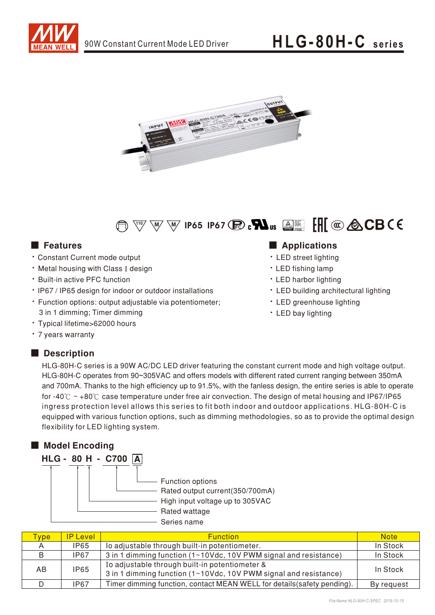





- Constant Current mode output
- Metal housing with Class I design
- Built-in active PFC function
- IP67 / IP65 design for indoor or outdoor installations
- Function options: output adjustable via potentiometer; 3 in 1 dimming; Timer dimming
- Typical lifetime>62000 hours
- 7 years warranty

## Description

## ■ Features ■ Particular and Particular and Particular and Particular and Particular and Particular and Particular and Particular and Particular and Particular and Particular and Particular and Particular and Particular an

- LED street lighting
- LED fishing lamp
- LED harbor lighting
- LED building architectural lighting
- LED greenhouse lighting
- LED bay lighting

HLG-80H-C series is a 90W AC/DC LED driver featuring the constant current mode and high voltage output. HLG-80H-C operates from 90~305VAC and offers models with different rated current ranging between 350mA and 700mA. Thanks to the high efficiency up to 91.5%, with the fanless design, the entire series is able to operate for -40° $\degree$  ~ +80° $\degree$  case temperature under free air convection. The design of metal housing and IP67/IP65 ingress protection level allows this series to fit both indoor and outdoor applications. HLG-80H-C is equipped with various function options, such as dimming methodologies, so as to provide the optimal design flexibility for LED lighting system.



| <b>vpe</b> | <b>P</b> Level | <b>Function</b>                                                                                                    | <b>Note</b> |
|------------|----------------|--------------------------------------------------------------------------------------------------------------------|-------------|
|            | <b>IP65</b>    | lo adjustable through built-in potentiometer.                                                                      | In Stock    |
| B          | <b>IP67</b>    | 3 in 1 dimming function (1~10Vdc, 10V PWM signal and resistance)                                                   | In Stock    |
| AB         | <b>IP65</b>    | Io adjustable through built-in potentiometer &<br>3 in 1 dimming function (1~10Vdc, 10V PWM signal and resistance) | In Stock    |
|            | <b>IP67</b>    | Timer dimming function, contact MEAN WELL for details (safety pending).                                            | By request  |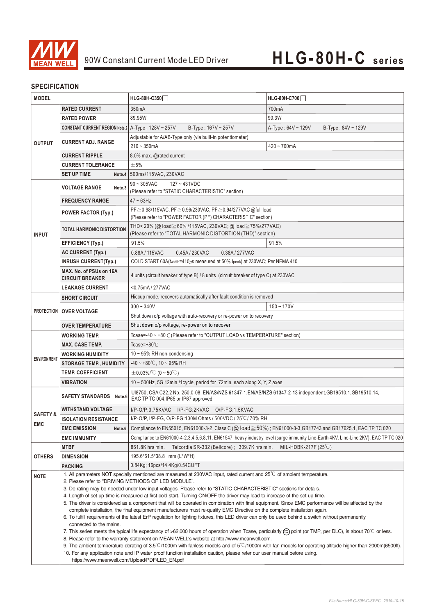

## **SPECIFICATION**

| <b>MODEL</b>                      |                                                                                                                                                                                                                                                                                   | HLG-80H-C350                                                                                                                                                                                                                                              | <b>HLG-80H-C700</b>                           |  |  |
|-----------------------------------|-----------------------------------------------------------------------------------------------------------------------------------------------------------------------------------------------------------------------------------------------------------------------------------|-----------------------------------------------------------------------------------------------------------------------------------------------------------------------------------------------------------------------------------------------------------|-----------------------------------------------|--|--|
|                                   | <b>RATED CURRENT</b>                                                                                                                                                                                                                                                              | 350mA                                                                                                                                                                                                                                                     | 700mA                                         |  |  |
| <b>OUTPUT</b>                     | <b>RATED POWER</b>                                                                                                                                                                                                                                                                | 89.95W                                                                                                                                                                                                                                                    | 90.3W                                         |  |  |
|                                   | <b>CONSTANT CURRENT REGION Note.2</b> $A-Type: 128V \sim 257V$                                                                                                                                                                                                                    | $B-Type: 167V \sim 257V$                                                                                                                                                                                                                                  | A-Type: $64V \sim 129V$<br>B-Type: 84V ~ 129V |  |  |
|                                   |                                                                                                                                                                                                                                                                                   | Adjustable for A/AB-Type only (via built-in potentiometer)                                                                                                                                                                                                |                                               |  |  |
|                                   | <b>CURRENT ADJ. RANGE</b>                                                                                                                                                                                                                                                         | $210 - 350mA$                                                                                                                                                                                                                                             | 420~700mA                                     |  |  |
|                                   | <b>CURRENT RIPPLE</b>                                                                                                                                                                                                                                                             | 8.0% max. @rated current                                                                                                                                                                                                                                  |                                               |  |  |
|                                   | <b>CURRENT TOLERANCE</b>                                                                                                                                                                                                                                                          | ±5%                                                                                                                                                                                                                                                       |                                               |  |  |
|                                   | <b>SET UP TIME</b>                                                                                                                                                                                                                                                                | Note.4   500ms/115VAC, 230VAC                                                                                                                                                                                                                             |                                               |  |  |
|                                   |                                                                                                                                                                                                                                                                                   | $90 \sim 305$ VAC<br>$127 - 431VDC$                                                                                                                                                                                                                       |                                               |  |  |
|                                   | <b>VOLTAGE RANGE</b><br>Note.3                                                                                                                                                                                                                                                    | (Please refer to "STATIC CHARACTERISTIC" section)                                                                                                                                                                                                         |                                               |  |  |
|                                   | <b>FREQUENCY RANGE</b>                                                                                                                                                                                                                                                            | $47 \sim 63$ Hz                                                                                                                                                                                                                                           |                                               |  |  |
|                                   | <b>POWER FACTOR (Typ.)</b>                                                                                                                                                                                                                                                        | PF ≥ 0.98/115VAC, PF ≥ 0.96/230VAC, PF ≥ 0.94/277VAC @full load                                                                                                                                                                                           |                                               |  |  |
|                                   |                                                                                                                                                                                                                                                                                   | (Please refer to "POWER FACTOR (PF) CHARACTERISTIC" section)                                                                                                                                                                                              |                                               |  |  |
| <b>INPUT</b>                      | TOTAL HARMONIC DISTORTION                                                                                                                                                                                                                                                         | THD<20% (@ load≧60% /115VAC, 230VAC; @ load≧75%/277VAC)<br>(Please refer to "TOTAL HARMONIC DISTORTION (THD)" section)                                                                                                                                    |                                               |  |  |
|                                   | <b>EFFICIENCY (Typ.)</b>                                                                                                                                                                                                                                                          | 91.5%                                                                                                                                                                                                                                                     | 91.5%                                         |  |  |
|                                   | <b>AC CURRENT (Typ.)</b>                                                                                                                                                                                                                                                          | 0.88A / 115VAC<br>0.45A / 230VAC<br>0.38A/277VAC                                                                                                                                                                                                          |                                               |  |  |
|                                   | <b>INRUSH CURRENT(Typ.)</b>                                                                                                                                                                                                                                                       | COLD START 60A(twidth=410µs measured at 50% Ipeak) at 230VAC; Per NEMA 410                                                                                                                                                                                |                                               |  |  |
|                                   | MAX. No. of PSUs on 16A                                                                                                                                                                                                                                                           |                                                                                                                                                                                                                                                           |                                               |  |  |
|                                   | <b>CIRCUIT BREAKER</b>                                                                                                                                                                                                                                                            | 4 units (circuit breaker of type B) / 8 units (circuit breaker of type C) at 230VAC                                                                                                                                                                       |                                               |  |  |
|                                   | <b>LEAKAGE CURRENT</b>                                                                                                                                                                                                                                                            | <0.75mA/277VAC                                                                                                                                                                                                                                            |                                               |  |  |
|                                   | <b>SHORT CIRCUIT</b>                                                                                                                                                                                                                                                              | Hiccup mode, recovers automatically after fault condition is removed                                                                                                                                                                                      |                                               |  |  |
|                                   |                                                                                                                                                                                                                                                                                   | $300 - 340V$                                                                                                                                                                                                                                              | $150 - 170V$                                  |  |  |
|                                   | PROTECTION   OVER VOLTAGE                                                                                                                                                                                                                                                         | Shut down o/p voltage with auto-recovery or re-power on to recovery                                                                                                                                                                                       |                                               |  |  |
|                                   | <b>OVER TEMPERATURE</b>                                                                                                                                                                                                                                                           | Shut down o/p voltage, re-power on to recover                                                                                                                                                                                                             |                                               |  |  |
|                                   | WORKING TEMP.                                                                                                                                                                                                                                                                     | Tcase=-40 ~ +80℃ (Please refer to "OUTPUT LOAD vs TEMPERATURE" section)                                                                                                                                                                                   |                                               |  |  |
|                                   | <b>MAX. CASE TEMP.</b>                                                                                                                                                                                                                                                            | Tcase= $+80^{\circ}$ C                                                                                                                                                                                                                                    |                                               |  |  |
|                                   | <b>WORKING HUMIDITY</b>                                                                                                                                                                                                                                                           | $10 \sim 95\%$ RH non-condensing                                                                                                                                                                                                                          |                                               |  |  |
| <b>ENVIRONMENT</b>                | <b>STORAGE TEMP., HUMIDITY</b>                                                                                                                                                                                                                                                    | $-40 \sim +80^{\circ}$ C, 10 ~ 95% RH                                                                                                                                                                                                                     |                                               |  |  |
|                                   | <b>TEMP, COEFFICIENT</b>                                                                                                                                                                                                                                                          | $\pm$ 0.03%/°C (0 ~ 50°C)                                                                                                                                                                                                                                 |                                               |  |  |
|                                   | <b>VIBRATION</b>                                                                                                                                                                                                                                                                  | 10 ~ 500Hz, 5G 12min./1cycle, period for 72min. each along X, Y, Z axes                                                                                                                                                                                   |                                               |  |  |
|                                   | <b>SAFETY STANDARDS</b> Note.6                                                                                                                                                                                                                                                    | UI8750, CSA C22.2 No. 250.0-08, EN/AS/NZS 61347-1, EN/AS/NZS 61347-2-13 independent, GB19510.1, GB19510.14,<br>EAC TP TC 004, IP65 or IP67 approved                                                                                                       |                                               |  |  |
|                                   | WITHSTAND VOLTAGE                                                                                                                                                                                                                                                                 | I/P-O/P:3.75KVAC I/P-FG:2KVAC O/P-FG:1.5KVAC                                                                                                                                                                                                              |                                               |  |  |
| <b>SAFETY &amp;</b>               | <b>ISOLATION RESISTANCE</b>                                                                                                                                                                                                                                                       | I/P-O/P, I/P-FG, O/P-FG:100M Ohms / 500VDC / 25°C/70% RH                                                                                                                                                                                                  |                                               |  |  |
| <b>EMC</b>                        | <b>EMC EMISSION</b><br>Note.6                                                                                                                                                                                                                                                     | Compliance to EN55015, EN61000-3-2 Class C (@ load $\geq$ 50%); EN61000-3-3, GB17743 and GB17625.1, EAC TP TC 020                                                                                                                                         |                                               |  |  |
|                                   | <b>EMC IMMUNITY</b>                                                                                                                                                                                                                                                               | Compliance to EN61000-4-2,3,4,5,6,8,11, EN61547, heavy industry level (surge immunity Line-Earth 4KV, Line-Line 2KV), EAC TP TC 020                                                                                                                       |                                               |  |  |
|                                   | <b>MTBF</b>                                                                                                                                                                                                                                                                       | Telcordia SR-332 (Bellcore); 309.7K hrs min.<br>861.8K hrs min.                                                                                                                                                                                           | MIL-HDBK-217F $(25^{\circ}C)$                 |  |  |
| <b>OTHERS</b><br><b>DIMENSION</b> |                                                                                                                                                                                                                                                                                   | 195.6*61.5*38.8 mm (L*W*H)                                                                                                                                                                                                                                |                                               |  |  |
|                                   | PACKING                                                                                                                                                                                                                                                                           | 0.84Kg; 16pcs/14.4Kg/0.54CUFT                                                                                                                                                                                                                             |                                               |  |  |
| <b>NOTE</b>                       |                                                                                                                                                                                                                                                                                   | 1. All parameters NOT specially mentioned are measured at 230VAC input, rated current and 25°C of ambient temperature.                                                                                                                                    |                                               |  |  |
|                                   | 2. Please refer to "DRIVING METHODS OF LED MODULE".<br>3. De-rating may be needed under low input voltages. Please refer to "STATIC CHARACTERISTIC" sections for details.                                                                                                         |                                                                                                                                                                                                                                                           |                                               |  |  |
|                                   |                                                                                                                                                                                                                                                                                   | 4. Length of set up time is measured at first cold start. Turning ON/OFF the driver may lead to increase of the set up time.                                                                                                                              |                                               |  |  |
|                                   | 5. The driver is considered as a component that will be operated in combination with final equipment. Since EMC performance will be affected by the                                                                                                                               |                                                                                                                                                                                                                                                           |                                               |  |  |
|                                   | complete installation, the final equipment manufacturers must re-qualify EMC Directive on the complete installation again.<br>6. To fulfill requirements of the latest ErP regulation for lighting fixtures, this LED driver can only be used behind a switch without permanently |                                                                                                                                                                                                                                                           |                                               |  |  |
|                                   | connected to the mains.                                                                                                                                                                                                                                                           |                                                                                                                                                                                                                                                           |                                               |  |  |
|                                   |                                                                                                                                                                                                                                                                                   | 7. This series meets the typical life expectancy of >62,000 hours of operation when Tcase, particularly (tc) point (or TMP, per DLC), is about 70°C or less.                                                                                              |                                               |  |  |
|                                   |                                                                                                                                                                                                                                                                                   | 8. Please refer to the warranty statement on MEAN WELL's website at http://www.meanwell.com.<br>9. The ambient temperature derating of 3.5°C/1000m with fanless models and of 5°C/1000m with fan models for operating altitude higher than 2000m(6500ft). |                                               |  |  |
|                                   |                                                                                                                                                                                                                                                                                   | 10. For any application note and IP water proof function installation caution, please refer our user manual before using.                                                                                                                                 |                                               |  |  |
|                                   |                                                                                                                                                                                                                                                                                   | https://www.meanwell.com/Upload/PDF/LED EN.pdf                                                                                                                                                                                                            |                                               |  |  |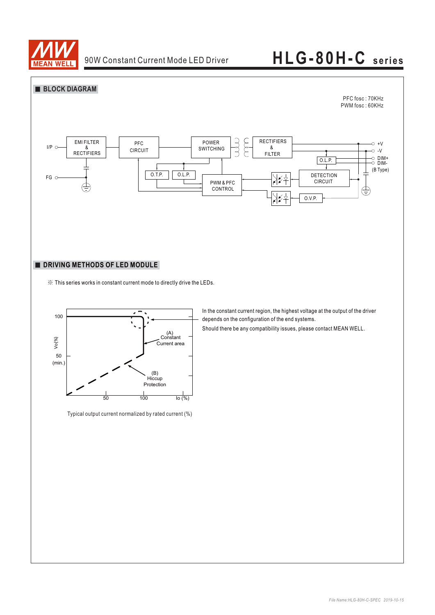



### **DRIVING METHODS OF LED MODULE**

※ This series works in constant current mode to directly drive the LEDs.



Typical output current normalized by rated current (%)

In the constant current region, the highest voltage at the output of the driver depends on the configuration of the end systems.

Should there be any compatibility issues, please contact MEAN WELL.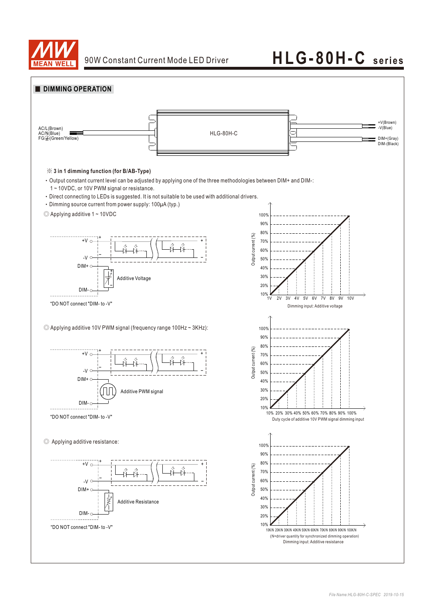

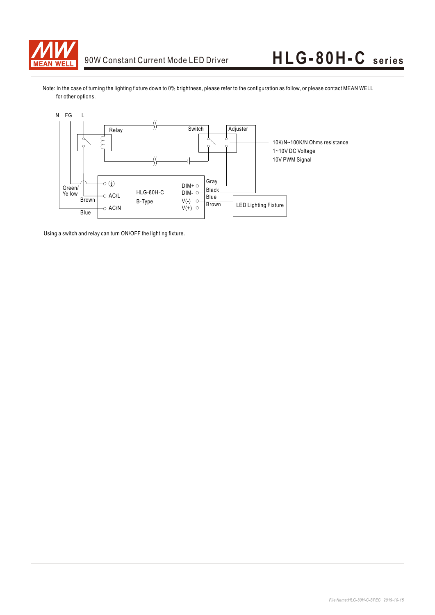

Note: In the case of turning the lighting fixture down to 0% brightness, please refer to the configuration as follow, or please contact MEAN WELL for other options.



Using a switch and relay can turn ON/OFF the lighting fixture.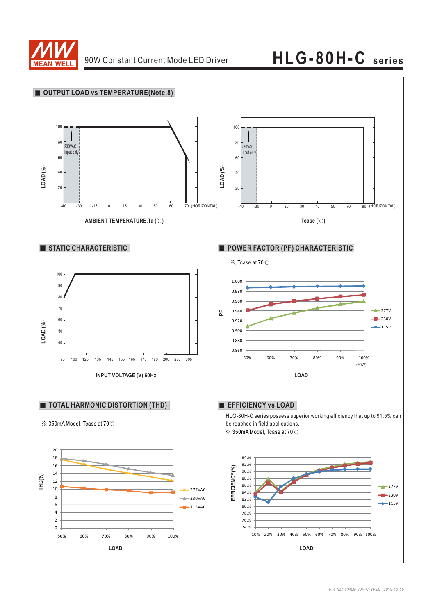

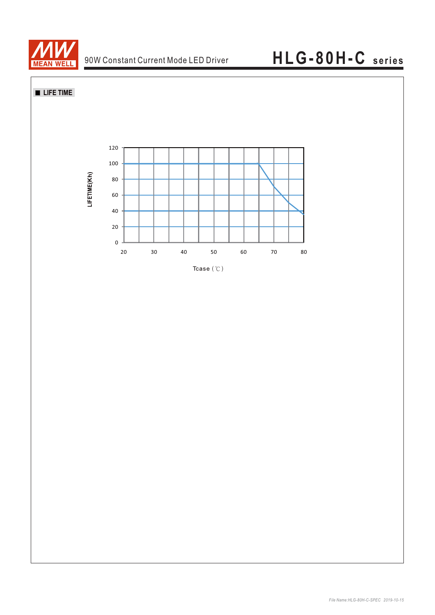

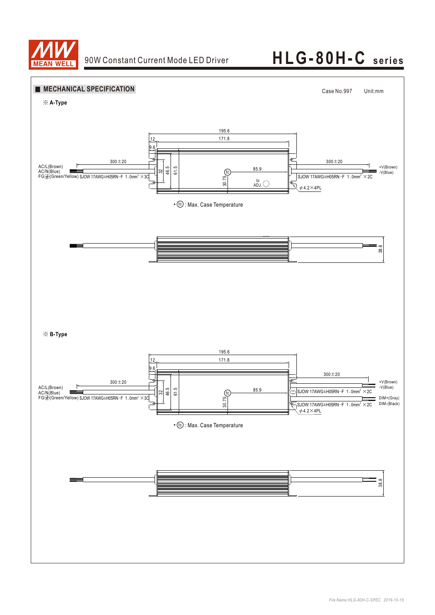

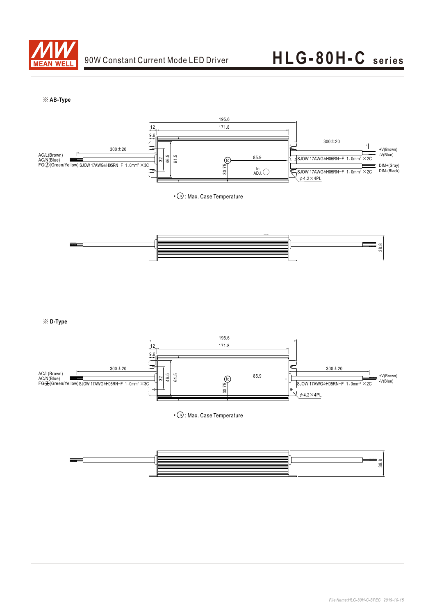